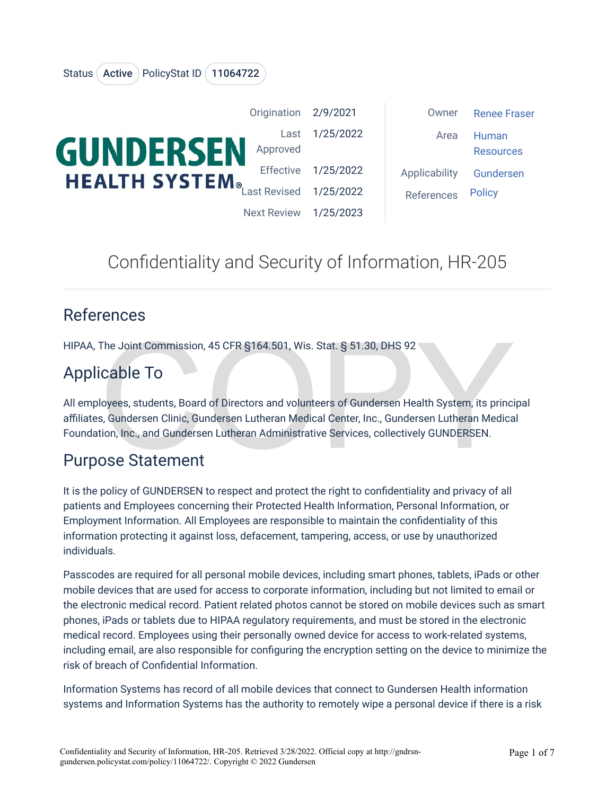|                                                                   | Origination 2/9/2021 |           | Owner         | <b>Renee Fraser</b>       |
|-------------------------------------------------------------------|----------------------|-----------|---------------|---------------------------|
| <b>GUNDERSEN</b><br><b>HEALTH SYSTEM</b> <sub>®Last Revised</sub> | Last<br>Approved     | 1/25/2022 | Area          | Human<br><b>Resources</b> |
|                                                                   | Effective            | 1/25/2022 | Applicability | Gundersen                 |
|                                                                   |                      | 1/25/2022 | References    | <b>Policy</b>             |
|                                                                   | <b>Next Review</b>   | 1/25/2023 |               |                           |

# Confidentiality and Security of Information, HR-205

## References

HIPAA, The Joint Commission, 45 CFR §164.501, Wis. Stat. § 51.30, DHS 92

# Applicable To

The Joint Commission, 45 CFR §164.501, Wis. Stat. § 51.30, DHS 92<br>
Cable To<br>
loyees, students, Board of Directors and volunteers of Gundersen Health System, its princis, Gundersen Clinic, Gundersen Lutheran Medical Center, All employees, students, Board of Directors and volunteers of Gundersen Health System, its principal affiliates, Gundersen Clinic, Gundersen Lutheran Medical Center, Inc., Gundersen Lutheran Medical Foundation, Inc., and Gundersen Lutheran Administrative Services, collectively GUNDERSEN.

# Purpose Statement

Status (Active ) PolicyStat ID (11064722

It is the policy of GUNDERSEN to respect and protect the right to confidentiality and privacy of all patients and Employees concerning their Protected Health Information, Personal Information, or Employment Information. All Employees are responsible to maintain the confidentiality of this information protecting it against loss, defacement, tampering, access, or use by unauthorized individuals.

Passcodes are required for all personal mobile devices, including smart phones, tablets, iPads or other mobile devices that are used for access to corporate information, including but not limited to email or the electronic medical record. Patient related photos cannot be stored on mobile devices such as smart phones, iPads or tablets due to HIPAA regulatory requirements, and must be stored in the electronic medical record. Employees using their personally owned device for access to work-related systems, including email, are also responsible for configuring the encryption setting on the device to minimize the risk of breach of Confidential Information.

Information Systems has record of all mobile devices that connect to Gundersen Health information systems and Information Systems has the authority to remotely wipe a personal device if there is a risk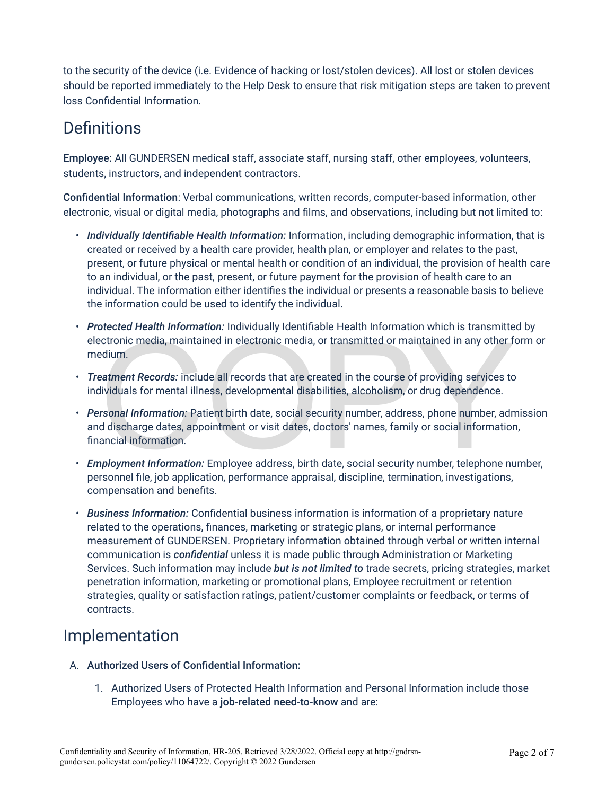to the security of the device (i.e. Evidence of hacking or lost/stolen devices). All lost or stolen devices should be reported immediately to the Help Desk to ensure that risk mitigation steps are taken to prevent loss Confidential Information.

# **Definitions**

Employee: All GUNDERSEN medical staff, associate staff, nursing staff, other employees, volunteers, students, instructors, and independent contractors.

Confidential Information: Verbal communications, written records, computer-based information, other electronic, visual or digital media, photographs and films, and observations, including but not limited to:

- *Individually Identifiable Health Information:* Information, including demographic information, that is created or received by a health care provider, health plan, or employer and relates to the past, present, or future physical or mental health or condition of an individual, the provision of health care to an individual, or the past, present, or future payment for the provision of health care to an individual. The information either identifies the individual or presents a reasonable basis to believe the information could be used to identify the individual.
- *Protected Health Information:* Individually Identifiable Health Information which is transmitted by electronic media, maintained in electronic media, or transmitted or maintained in any other form or medium.
- *Treatment Records:* include all records that are created in the course of providing services to individuals for mental illness, developmental disabilities, alcoholism, or drug dependence.
- Section is the anti-momentum increasing and the methods of maintained in any other fectronic media, maintained in electronic media, or transmitted or maintained in any other fedium.<br>
Determined all records that are created • *Personal Information:* Patient birth date, social security number, address, phone number, admission and discharge dates, appointment or visit dates, doctors' names, family or social information, financial information.
- *Employment Information:* Employee address, birth date, social security number, telephone number, personnel file, job application, performance appraisal, discipline, termination, investigations, compensation and benefits.
- *Business Information:* Confidential business information is information of a proprietary nature related to the operations, finances, marketing or strategic plans, or internal performance measurement of GUNDERSEN. Proprietary information obtained through verbal or written internal communication is *confidential* unless it is made public through Administration or Marketing Services. Such information may include *but is not limited to* trade secrets, pricing strategies, market penetration information, marketing or promotional plans, Employee recruitment or retention strategies, quality or satisfaction ratings, patient/customer complaints or feedback, or terms of contracts.

# Implementation

- A. Authorized Users of Confidential Information:
	- 1. Authorized Users of Protected Health Information and Personal Information include those Employees who have a job-related need-to-know and are: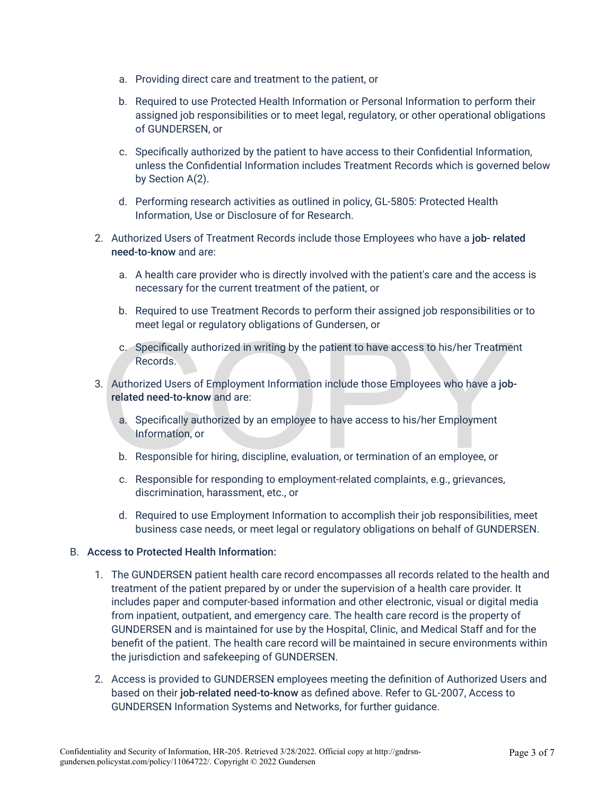- a. Providing direct care and treatment to the patient, or
- b. Required to use Protected Health Information or Personal Information to perform their assigned job responsibilities or to meet legal, regulatory, or other operational obligations of GUNDERSEN, or
- c. Specifically authorized by the patient to have access to their Confidential Information, unless the Confidential Information includes Treatment Records which is governed below by Section A(2).
- d. Performing research activities as outlined in policy, GL-5805: Protected Health Information, Use or Disclosure of for Research.
- 2. Authorized Users of Treatment Records include those Employees who have a job- related need-to-know and are:
	- a. A health care provider who is directly involved with the patient's care and the access is necessary for the current treatment of the patient, or
	- b. Required to use Treatment Records to perform their assigned job responsibilities or to meet legal or regulatory obligations of Gundersen, or
	- c. Specifically authorized in writing by the patient to have access to his/her Treatment Records.
- C. Specifically authorized in writing by the patient to have access to his/her Treatment Records.<br>
Records.<br>
2. Authorized Users of Employment Information include those Employees who have a job-<br>
related need-to-know and a 3. Authorized Users of Employment Information include those Employees who have a jobrelated need-to-know and are:
	- a. Specifically authorized by an employee to have access to his/her Employment Information, or
	- b. Responsible for hiring, discipline, evaluation, or termination of an employee, or
	- c. Responsible for responding to employment-related complaints, e.g., grievances, discrimination, harassment, etc., or
	- d. Required to use Employment Information to accomplish their job responsibilities, meet business case needs, or meet legal or regulatory obligations on behalf of GUNDERSEN.

#### B. Access to Protected Health Information:

- 1. The GUNDERSEN patient health care record encompasses all records related to the health and treatment of the patient prepared by or under the supervision of a health care provider. It includes paper and computer-based information and other electronic, visual or digital media from inpatient, outpatient, and emergency care. The health care record is the property of GUNDERSEN and is maintained for use by the Hospital, Clinic, and Medical Staff and for the benefit of the patient. The health care record will be maintained in secure environments within the jurisdiction and safekeeping of GUNDERSEN.
- 2. Access is provided to GUNDERSEN employees meeting the definition of Authorized Users and based on their job-related need-to-know as defined above. Refer to GL-2007, Access to GUNDERSEN Information Systems and Networks, for further guidance.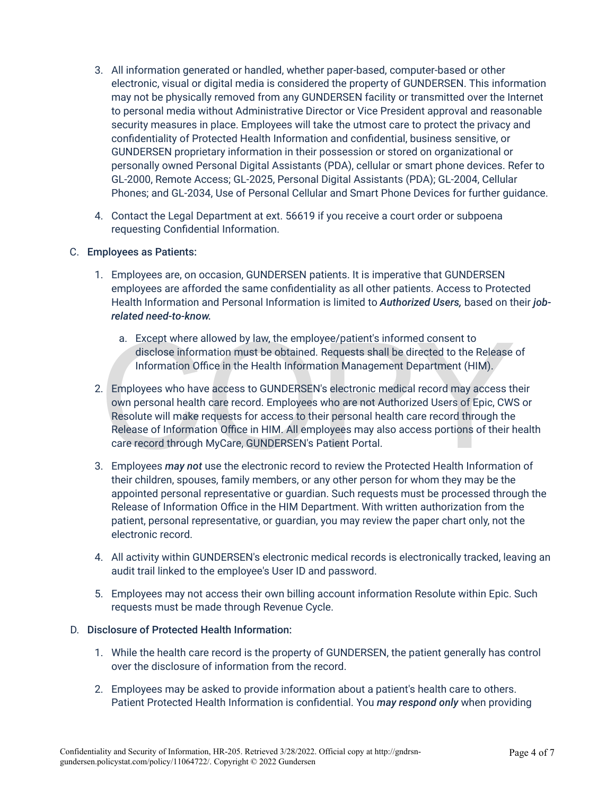- 3. All information generated or handled, whether paper-based, computer-based or other electronic, visual or digital media is considered the property of GUNDERSEN. This information may not be physically removed from any GUNDERSEN facility or transmitted over the Internet to personal media without Administrative Director or Vice President approval and reasonable security measures in place. Employees will take the utmost care to protect the privacy and confidentiality of Protected Health Information and confidential, business sensitive, or GUNDERSEN proprietary information in their possession or stored on organizational or personally owned Personal Digital Assistants (PDA), cellular or smart phone devices. Refer to GL-2000, Remote Access; GL-2025, Personal Digital Assistants (PDA); GL-2004, Cellular Phones; and GL-2034, Use of Personal Cellular and Smart Phone Devices for further guidance.
- 4. Contact the Legal Department at ext. 56619 if you receive a court order or subpoena requesting Confidential Information.

#### C. Employees as Patients:

- 1. Employees are, on occasion, GUNDERSEN patients. It is imperative that GUNDERSEN employees are afforded the same confidentiality as all other patients. Access to Protected Health Information and Personal Information is limited to *Authorized Users,* based on their *jobrelated need-to-know.* 
	- a. Except where allowed by law, the employee/patient's informed consent to disclose information must be obtained. Requests shall be directed to the Release of Information Office in the Health Information Management Department (HIM).
- a. Except where allowed by law, the employee/patient's informed consent to<br>disclose information must be obtained. Requests shall be directed to the Release<br>Information Office in the Health Information Management Department 2. Employees who have access to GUNDERSEN's electronic medical record may access their own personal health care record. Employees who are not Authorized Users of Epic, CWS or Resolute will make requests for access to their personal health care record through the Release of Information Office in HIM. All employees may also access portions of their health care record through MyCare, GUNDERSEN's Patient Portal.
- 3. Employees *may not* use the electronic record to review the Protected Health Information of their children, spouses, family members, or any other person for whom they may be the appointed personal representative or guardian. Such requests must be processed through the Release of Information Office in the HIM Department. With written authorization from the patient, personal representative, or guardian, you may review the paper chart only, not the electronic record.
- 4. All activity within GUNDERSEN's electronic medical records is electronically tracked, leaving an audit trail linked to the employee's User ID and password.
- 5. Employees may not access their own billing account information Resolute within Epic. Such requests must be made through Revenue Cycle.

#### D. Disclosure of Protected Health Information:

- 1. While the health care record is the property of GUNDERSEN, the patient generally has control over the disclosure of information from the record.
- 2. Employees may be asked to provide information about a patient's health care to others. Patient Protected Health Information is confidential. You *may respond only* when providing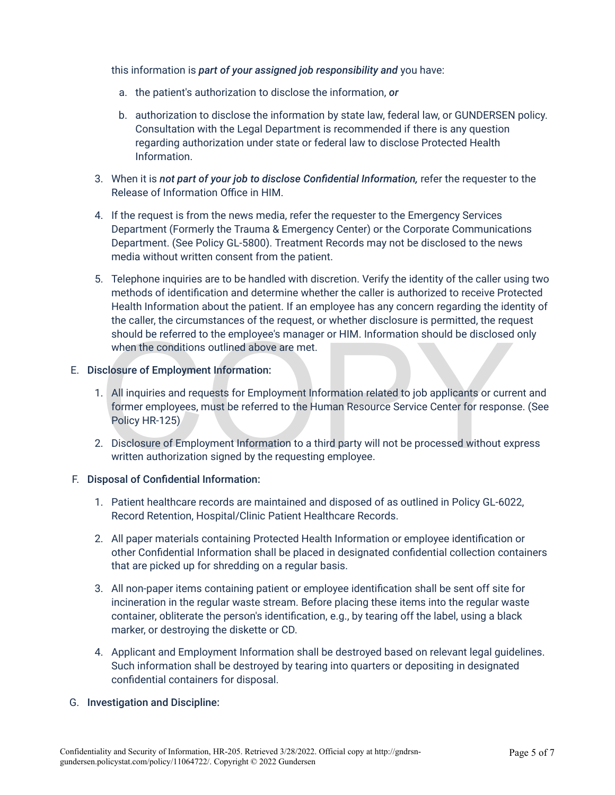this information is *part of your assigned job responsibility and* you have:

- a. the patient's authorization to disclose the information, *or*
- b. authorization to disclose the information by state law, federal law, or GUNDERSEN policy. Consultation with the Legal Department is recommended if there is any question regarding authorization under state or federal law to disclose Protected Health Information.
- 3. When it is *not part of your job to disclose Confidential Information,* refer the requester to the Release of Information Office in HIM.
- 4. If the request is from the news media, refer the requester to the Emergency Services Department (Formerly the Trauma & Emergency Center) or the Corporate Communications Department. (See Policy GL-5800). Treatment Records may not be disclosed to the news media without written consent from the patient.
- 5. Telephone inquiries are to be handled with discretion. Verify the identity of the caller using two methods of identification and determine whether the caller is authorized to receive Protected Health Information about the patient. If an employee has any concern regarding the identity of the caller, the circumstances of the request, or whether disclosure is permitted, the request should be referred to the employee's manager or HIM. Information should be disclosed only when the conditions outlined above are met.

#### E. Disclosure of Employment Information:

- should be referred to the employee's manager or HIM. Information should be disclosed<br>when the conditions outlined above are met.<br>sclosure of Employment Information:<br>All inquiries and requests for Employment Information rel 1. All inquiries and requests for Employment Information related to job applicants or current and former employees, must be referred to the Human Resource Service Center for response. (See Policy HR-125)
- 2. Disclosure of Employment Information to a third party will not be processed without express written authorization signed by the requesting employee.

#### F. Disposal of Confidential Information:

- 1. Patient healthcare records are maintained and disposed of as outlined in Policy GL-6022, Record Retention, Hospital/Clinic Patient Healthcare Records.
- 2. All paper materials containing Protected Health Information or employee identification or other Confidential Information shall be placed in designated confidential collection containers that are picked up for shredding on a regular basis.
- 3. All non-paper items containing patient or employee identification shall be sent off site for incineration in the regular waste stream. Before placing these items into the regular waste container, obliterate the person's identification, e.g., by tearing off the label, using a black marker, or destroying the diskette or CD.
- 4. Applicant and Employment Information shall be destroyed based on relevant legal guidelines. Such information shall be destroyed by tearing into quarters or depositing in designated confidential containers for disposal.

#### G. Investigation and Discipline: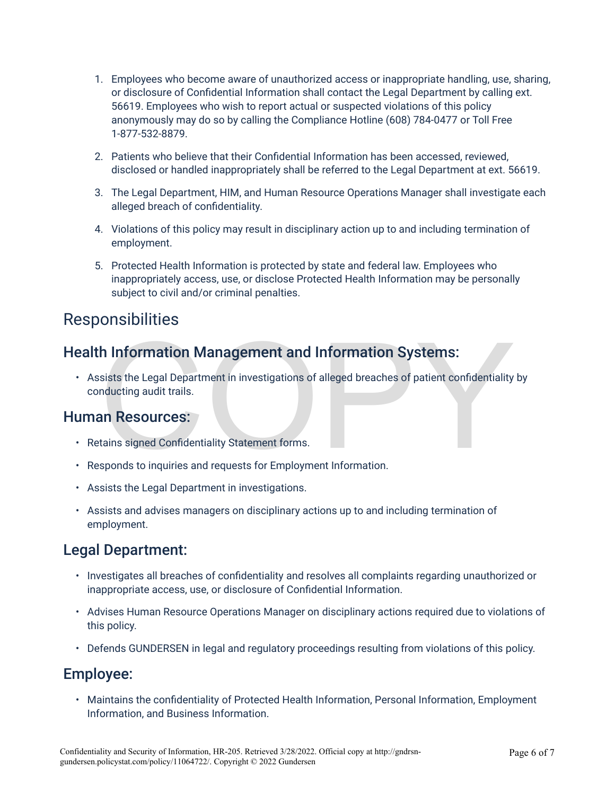- 1. Employees who become aware of unauthorized access or inappropriate handling, use, sharing, or disclosure of Confidential Information shall contact the Legal Department by calling ext. 56619. Employees who wish to report actual or suspected violations of this policy anonymously may do so by calling the Compliance Hotline (608) 784-0477 or Toll Free 1-877-532-8879.
- 2. Patients who believe that their Confidential Information has been accessed, reviewed, disclosed or handled inappropriately shall be referred to the Legal Department at ext. 56619.
- 3. The Legal Department, HIM, and Human Resource Operations Manager shall investigate each alleged breach of confidentiality.
- 4. Violations of this policy may result in disciplinary action up to and including termination of employment.
- 5. Protected Health Information is protected by state and federal law. Employees who inappropriately access, use, or disclose Protected Health Information may be personally subject to civil and/or criminal penalties.

## **Responsibilities**

### Health Information Management and Information Systems:

**h Information Management and Information Systems:**<br>sists the Legal Department in investigations of alleged breaches of patient confidentiality<br>nducting audit trails.<br>**an Resources:**<br>tains signed Confidentiality Statement • Assists the Legal Department in investigations of alleged breaches of patient confidentiality by conducting audit trails.

### Human Resources:

- Retains signed Confidentiality Statement forms.
- Responds to inquiries and requests for Employment Information.
- Assists the Legal Department in investigations.
- Assists and advises managers on disciplinary actions up to and including termination of employment.

### Legal Department:

- Investigates all breaches of confidentiality and resolves all complaints regarding unauthorized or inappropriate access, use, or disclosure of Confidential Information.
- Advises Human Resource Operations Manager on disciplinary actions required due to violations of this policy.
- Defends GUNDERSEN in legal and regulatory proceedings resulting from violations of this policy.

### Employee:

• Maintains the confidentiality of Protected Health Information, Personal Information, Employment Information, and Business Information.